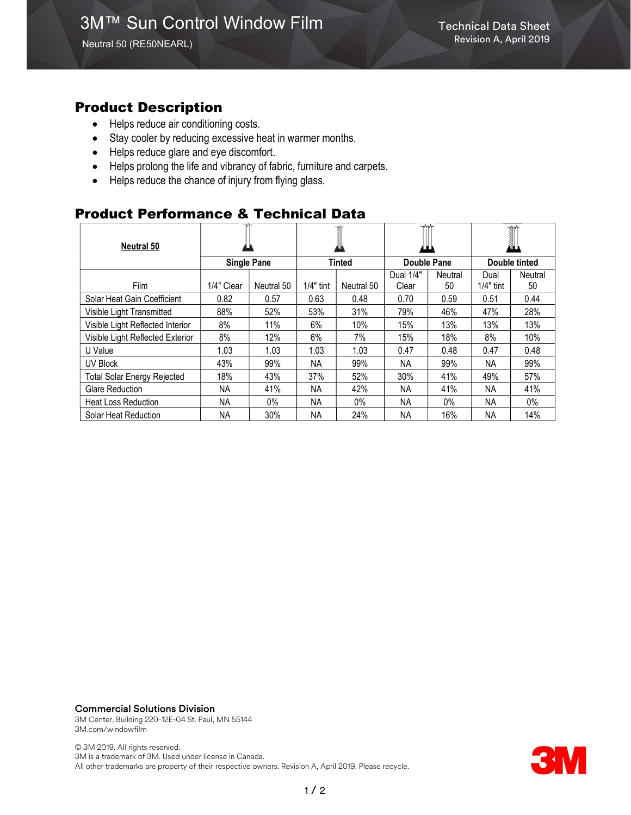### Product Description

- Helps reduce air conditioning costs.
- Stay cooler by reducing excessive heat in warmer months.
- Helps reduce glare and eye discomfort.
- Helps prolong the life and vibrancy of fabric, furniture and carpets.
- Helps reduce the chance of injury from flying glass.

## Product Performance & Technical Data

| <b>Neutral 50</b>                  |                    |            |             |            | .           |         |               |         |
|------------------------------------|--------------------|------------|-------------|------------|-------------|---------|---------------|---------|
|                                    | <b>Single Pane</b> |            | Tinted      |            | Double Pane |         | Double tinted |         |
|                                    |                    |            |             |            | Dual 1/4"   | Neutral | Dual          | Neutral |
| Film                               | 1/4" Clear         | Neutral 50 | $1/4"$ tint | Neutral 50 | Clear       | 50      | $1/4"$ tint   | 50      |
| Solar Heat Gain Coefficient        | 0.82               | 0.57       | 0.63        | 0.48       | 0.70        | 0.59    | 0.51          | 0.44    |
| Visible Light Transmitted          | 88%                | 52%        | 53%         | 31%        | 79%         | 46%     | 47%           | 28%     |
| Visible Light Reflected Interior   | 8%                 | 11%        | 6%          | 10%        | 15%         | 13%     | 13%           | 13%     |
| Visible Light Reflected Exterior   | 8%                 | 12%        | 6%          | 7%         | 15%         | 18%     | 8%            | 10%     |
| U Value                            | 1.03               | 1.03       | 1.03        | 1.03       | 0.47        | 0.48    | 0.47          | 0.48    |
| <b>UV Block</b>                    | 43%                | 99%        | NА          | 99%        | ΝA          | 99%     | ΝA            | 99%     |
| <b>Total Solar Energy Rejected</b> | 18%                | 43%        | 37%         | 52%        | 30%         | 41%     | 49%           | 57%     |
| <b>Glare Reduction</b>             | ΝA                 | 41%        | <b>NA</b>   | 42%        | NА          | 41%     | NA            | 41%     |
| <b>Heat Loss Reduction</b>         | <b>NA</b>          | $0\%$      | <b>NA</b>   | 0%         | <b>NA</b>   | $0\%$   | <b>NA</b>     | $0\%$   |
| Solar Heat Reduction               | NA                 | 30%        | <b>NA</b>   | 24%        | <b>NA</b>   | 16%     | ΝA            | 14%     |

#### Commercial Solutions Division

3M Center, Building 220-12E-04 St. Paul, MN 55144 3M.com/windowfilm

© 3M 2019. All rights reserved. 3M is a trademark of 3M. Used under license in Canada. All other trademarks are property of their respective owners. Revision A, April 2019. Please recycle.